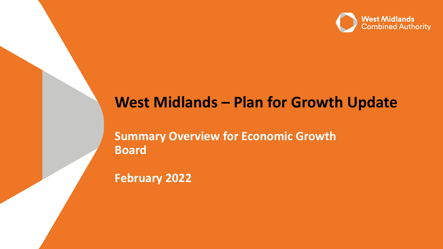

# **West Midlands – Plan for Growth Update**

**Summary Overview for Economic Growth Board**

**February 2022**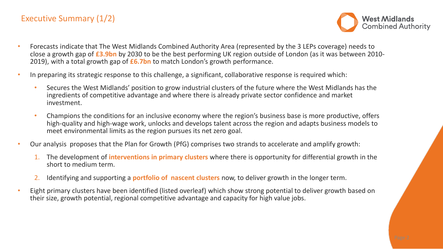## Executive Summary (1/2)



- Forecasts indicate that The West Midlands Combined Authority Area (represented by the 3 LEPs coverage) needs to close a growth gap of **£3.9bn** by 2030 to be the best performing UK region outside of London (as it was between 2010- 2019), with a total growth gap of **£6.7bn** to match London's growth performance.
- In preparing its strategic response to this challenge, a significant, collaborative response is required which:
	- Secures the West Midlands' position to grow industrial clusters of the future where the West Midlands has the ingredients of competitive advantage and where there is already private sector confidence and market investment.
	- Champions the conditions for an inclusive economy where the region's business base is more productive, offers high-quality and high-wage work, unlocks and develops talent across the region and adapts business models to meet environmental limits as the region pursues its net zero goal.
- Our analysis proposes that the Plan for Growth (PfG) comprises two strands to accelerate and amplify growth:
	- 1. The development of **interventions in primary clusters** where there is opportunity for differential growth in the short to medium term.
	- 2. Identifying and supporting a **portfolio of nascent clusters** now, to deliver growth in the longer term.
- Eight primary clusters have been identified (listed overleaf) which show strong potential to deliver growth based on their size, growth potential, regional competitive advantage and capacity for high value jobs.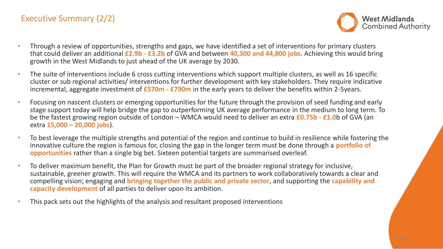## Executive Summary (2/2)



- Through a review of opportunities, strengths and gaps, we have identified a set of interventions for primary clusters that could deliver an additional **£2.9b - £3.2b** of GVA and between **40,300 and 44,800 jobs**. Achieving this would bring growth in the West Midlands to just ahead of the UK average by 2030.
- The suite of interventions include 6 cross cutting interventions which support multiple clusters, as well as 16 specific cluster or sub regional activities/ interventions for further development with key stakeholders. They require indicative incremental, aggregate investment of **£570m - £790m** in the early years to deliver the benefits within 2-5years.
- Focusing on nascent clusters or emerging opportunities for the future through the provision of seed funding and early stage support today will help bridge the gap to outperforming UK average performance in the medium to long term. To be the fastest growing region outside of London – WMCA would need to deliver an extra **£0.75b - £1.0**b of GVA (an extra **15,000 – 20,000 jobs**).
- To best leverage the multiple strengths and potential of the region and continue to build in resilience while fostering the innovative culture the region is famous for, closing the gap in the longer term must be done through a **portfolio of opportunities** rather than a single big bet. Sixteen potential targets are summarised overleaf.
- To deliver maximum benefit, the Plan for Growth must be part of the broader regional strategy for inclusive, sustainable, greener growth. This will require the WMCA and its partners to work collaboratively towards a clear and compelling vision; engaging and **bringing together the public and private sector**, and supporting the **capability and capacity development** of all parties to deliver upon its ambition.
- This pack sets out the highlights of the analysis and resultant proposed interventions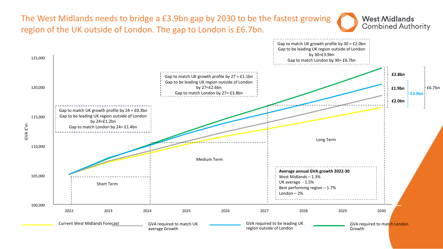The West Midlands needs to bridge a £3.9bn gap by 2030 to be the fastest growing region of the UK outside of London. The gap to London is £6.7bn.



**West Midlands** 

**Combined Authority**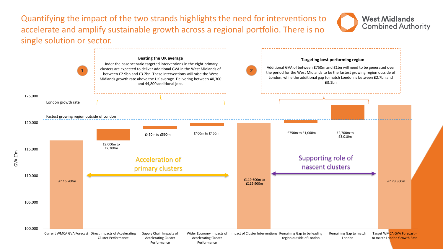Quantifying the impact of the two strands highlights the need for interventions to accelerate and amplify sustainable growth across a regional portfolio. There is no single solution or sector.



**West Midlands** 

**Combined Authority**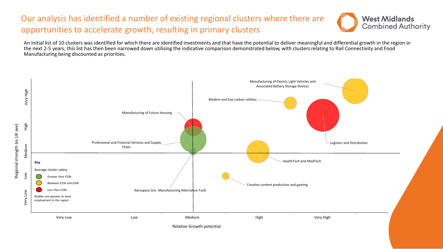## Our analysis has identified a number of existing regional clusters where there are opportunities to accelerate growth, resulting in primary clusters



An initial list of 10 clusters was identified for which there are identified investments and that have the potential to deliver meaningful and differential growth in the region in the next 2-5 years; this list has then been narrowed down utilising the indicative comparison demonstrated below, with clusters relating to Rail Connectivity and Food Manufacturing being discounted as priorities.

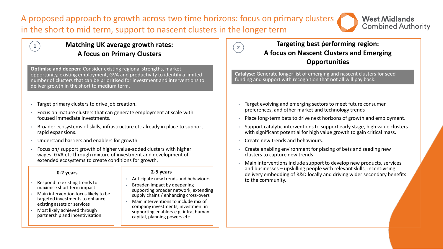A proposed approach to growth across two time horizons: focus on primary clusters in the short to mid term, support to nascent clusters in the longer term



## **Matching UK average growth rates:**  $\begin{array}{|c|c|c|c|c|}\hline 2& 2& \hline \end{array}$  Targeting best p **A focus on Primary Clusters**

**Optimise and deepen:** Consider existing regional strengths, market opportunity, existing employment, GVA and productivity to identify a limited number of clusters that can be prioritised for investment and interventions to deliver growth in the short to medium term.

- Target primary clusters to drive job creation.
- Focus on mature clusters that can generate employment at scale with focused immediate investments.
- Broader ecosystems of skills, infrastructure etc already in place to support rapid expansions.
- Understand barriers and enablers for growth
- Focus on/ support growth of higher value-added clusters with higher wages, GVA etc through mixture of investment and development of extended ecosystems to create conditions for growth.

### **0-2 years 2-5 years**

- Respond to existing trends to maximise short term impact
- Main intervention focus likely to be targeted investments to enhance existing assets or services
- Most likely achieved through partnership and incentivisation

- Anticipate new trends and behaviours
- Broaden impact by deepening supporting broader network, extending supply chains / enhancing cross-overs
- Main interventions to include mix of company investments, investment in supporting enablers e.g. infra, human capital, planning powers etc

## **Targeting best performing region: A focus on Nascent Clusters and Emerging Opportunities**

**Catalyse:** Generate longer list of emerging and nascent clusters for seed funding and support with recognition that not all will pay back.

- Target evolving and emerging sectors to meet future consumer preferences, and other market and technology trends
- Place long-term bets to drive next horizons of growth and employment.
- Support catalytic interventions to support early stage, high value clusters with significant potential for high value growth to gain critical mass.
- Create new trends and behaviours.
- Create enabling environment for placing of bets and seeding new clusters to capture new trends.
- Main interventions include support to develop new products, services and businesses – upskilling people with relevant skills, incentivising delivery embedding of R&D locally and driving wider secondary benefits to the community.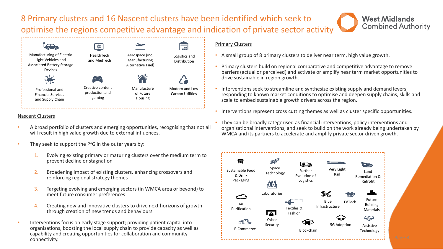## 8 Primary clusters and 16 Nascent clusters have been identified which seek to optimise the regions competitive advantage and indication of private sector activity



### Nascent Clusters

- A broad portfolio of clusters and emerging opportunities, recognising that not all will result in high value growth due to external influences.
- They seek to support the PfG in the outer years by:
	- 1. Evolving existing primary or maturing clusters over the medium term to prevent decline or stagnation
	- 2. Broadening impact of existing clusters, enhancing crossovers and reinforcing regional strategy themes
	- 3. Targeting evolving and emerging sectors (in WMCA area or beyond) to meet future consumer preferences
	- 4. Creating new and innovative clusters to drive next horizons of growth through creation of new trends and behaviours
- Interventions focus on early stage support; providing patient capital into organisations, boosting the local supply chain to provide capacity as well as capability and creating opportunities for collaboration and community connectivity.

### Primary Clusters

- A small group of 8 primary clusters to deliver near term, high value growth.
- Primary clusters build on regional comparative and competitive advantage to remove barriers (actual or perceived) and activate or amplify near term market opportunities to drive sustainable in region growth.

**West Midlands** 

**Combined Authority** 

- Interventions seek to streamline and synthesize existing supply and demand levers, responding to known market conditions to optimise and deepen supply chains, skills and scale to embed sustainable growth drivers across the region.
- Interventions represent cross cutting themes as well as cluster specific opportunities.
- They can be broadly categorised as financial interventions, policy interventions and organisational interventions, and seek to build on the work already being undertaken by WMCA and its partners to accelerate and amplify private sector driven growth.

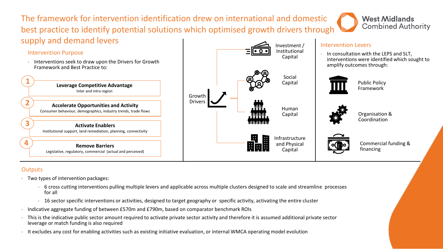The framework for intervention identification drew on international and domestic best practice to identify potential solutions which optimised growth drivers through supply and demand levers

## Intervention Purpose

• Interventions seek to draw upon the Drivers for Growth Framework and Best Practice to:





## Intervention Levers

• In consultation with the LEPS and SLT, interventions were identified which sought to amplify outcomes through:

**West Midlands** 

**Combined Authority** 







Organisation & Coordination



Commercial funding & financing

## **Outputs**

- Two types of intervention packages:
	- 6 cross cutting interventions pulling multiple levers and applicable across multiple clusters designed to scale and streamline processes for all
	- 16 sector specific interventions or activities, designed to target geography or specific activity, activating the entire cluster
- Indicative aggregate funding of between £570m and £790m, based on comparator benchmark ROIs
- This is the indicative public sector amount required to activate private sector activity and therefore it is assumed additional private sector leverage or match funding is also required
- It excludes any cost for enabling activities such as existing initiative evaluation, or internal WMCA operating model evolution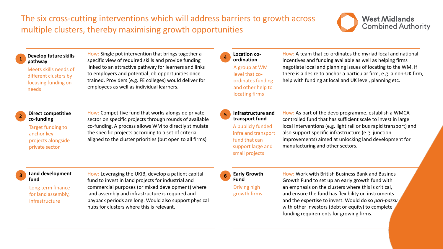

#### **1 Develop future skills pathway**

Meets skills needs of different clusters by focusing funding on needs

How: Single pot intervention that brings together a specific view of required skills and provide funding linked to an attractive pathway for learners and links to employers and potential job opportunities once trained. Providers (e.g. FE colleges) would deliver for employees as well as individual learners.

**Location coordination** A group at WM level that coordinates funding and other help to locating firms

**4**

How: A team that co-ordinates the myriad local and national incentives and funding available as well as helping firms negotiate local and planning issues of locating to the WM. If there is a desire to anchor a particular firm, e.g. a non-UK firm, help with funding at local and UK level, planning etc.

**Infrastructure and transport fund** A publicly funded infra and transport fund that can support large and small projects **5**

How: As part of the devo programme, establish a WMCA controlled fund that has sufficient scale to invest in large local interventions (e.g. light rail or bus rapid transport) and also support specific infrastructure (e.g. junction improvements) aimed at unlocking land development for manufacturing and other sectors.

#### **Direct competitive co-funding 2**

Target funding to anchor key projects alongside private sector

How: Competitive fund that works alongside private sector on specific projects through rounds of available co-funding. A process allows WM to directly stimulate the specific projects according to a set of criteria aligned to the cluster priorities (but open to all firms)

**Land development fund**

> Long term finance for land assembly, infrastructure

How: Leveraging the UKIB, develop a patient capital **3 6** fund to invest in land projects for industrial and commercial purposes (or mixed development) where land assembly and infrastructure is required and payback periods are long. Would also support physical hubs for clusters where this is relevant.



Driving high growth firms

How: Work with British Business Bank and Busines Growth Fund to set up an early growth fund with an emphasis on the clusters where this is critical, and ensure the fund has flexibility on instruments and the expertise to invest. Would do so *pari-passu*  with other investors (debt or equity) to complete funding requirements for growing firms.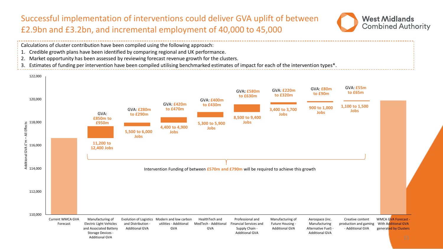## Successful implementation of interventions could deliver GVA uplift of between £2.9bn and £3.2bn, and incremental employment of 40,000 to 45,000



- Calculations of cluster contribution have been compiled using the following approach:
- 1. Credible growth plans have been identified by comparing regional and UK performance.
- 2. Market opportunity has been assessed by reviewing forecast revenue growth for the clusters.
- 3. Estimates of funding per intervention have been compiled utilising benchmarked estimates of impact for each of the intervention types\*.

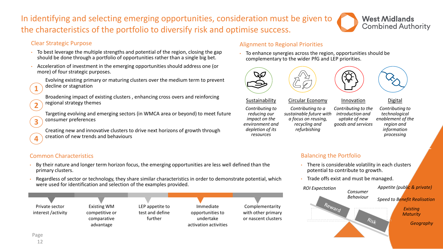## In identifying and selecting emerging opportunities, consideration must be given to the characteristics of the portfolio to diversify risk and optimise success.



## Clear Strategic Purpose

- To best leverage the multiple strengths and potential of the region, closing the gap should be done through a portfolio of opportunities rather than a single big bet.
- Acceleration of investment in the emerging opportunities should address one (or more) of four strategic purposes.



**2**

**3**

**4**

Evolving existing primary or maturing clusters over the medium term to prevent decline or stagnation

Broadening impact of existing clusters , enhancing cross overs and reinforcing regional strategy themes

Targeting evolving and emerging sectors (in WMCA area or beyond) to meet future consumer preferences

Creating new and innovative clusters to drive next horizons of growth through creation of new trends and behaviours

## Common Characteristics

- By their nature and longer term horizon focus, the emerging opportunities are less well defined than the primary clusters.
- Regardless of sector or technology, they share similar characteristics in order to demonstrate potential, which were used for identification and selection of the examples provided.

Private sector interest /activity

Existing WM competitive or comparative advantage

LEP appetite to test and define further

Immediate opportunities to undertake activation activities

Complementarity with other primary or nascent clusters

## Alignment to Regional Priorities

• To enhance synergies across the region, opportunities should be complementary to the wider PfG and LEP priorities.



*impact on the environment and depletion of its resources*





Sustainability *Contributing to reducing our*  Circular Economy *Contributing to a sustainable future with* 

*a focus on reusing, recycling and refurbishing*

*Contributing to the introduction and uptake of new goods and services* 

Innovation

Digital

*Contributing to technological enablement of the region and information processing*

## Balancing the Portfolio

- There is considerable volatility in each clusters potential to contribute to growth.
- Trade offs exist and must be managed.

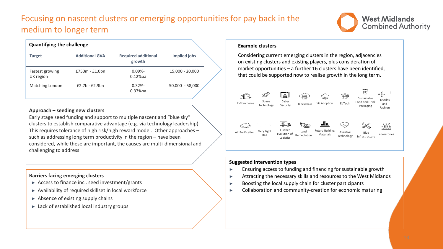## Focusing on nascent clusters or emerging opportunities for pay back in the medium to longer term



| <b>Quantifying the challenge</b>    |                       |                                      |                   |  |
|-------------------------------------|-----------------------|--------------------------------------|-------------------|--|
| <b>Target</b>                       | <b>Additional GVA</b> | <b>Required additional</b><br>growth | Implied jobs      |  |
| <b>Fastest growing</b><br>UK region | $£750m - £1.0bn$      | $0.09\%$ -<br>$0.12%$ pa             | 15,000 - 20,000   |  |
| Matching London                     | $£2.7b - £2.9bn$      | $0.32\% -$<br>$0.37%$ pa             | $50,000 - 58,000$ |  |

### **Approach – seeding new clusters**

Early stage seed funding and support to multiple nascent and "blue sky" clusters to establish comparative advantage (e.g. via technology leadership). This requires tolerance of high risk/high reward model. Other approaches – such as addressing long term productivity in the region – have been considered, while these are important, the causes are multi-dimensional and challenging to address

### **Barriers facing emerging clusters**

- ► Access to finance incl. seed investment/grants
- ► Availability of required skillset in local workforce
- $\blacktriangleright$  Absence of existing supply chains
- ► Lack of established local industry groups

### **Example clusters**

Considering current emerging clusters in the region, adjacencies on existing clusters and existing players, plus consideration of market opportunities – a further 16 clusters have been identified, that could be supported now to realise growth in the long term.



### **Suggested intervention types**

- ► Ensuring access to funding and financing for sustainable growth
- ► Attracting the necessary skills and resources to the West Midlands
- ► Boosting the local supply chain for cluster participants
- Collaboration and community-creation for economic maturing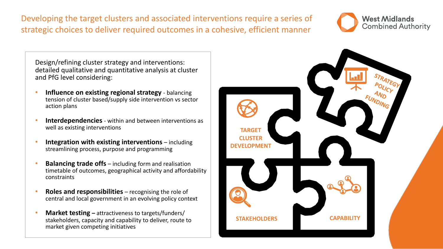Developing the target clusters and associated interventions require a series of strategic choices to deliver required outcomes in a cohesive, efficient manner



Design/refining cluster strategy and interventions: detailed qualitative and quantitative analysis at cluster and PfG level considering:

- **Influence on existing regional strategy**  balancing tension of cluster based/supply side intervention vs sector action plans
- **Interdependencies** within and between interventions as well as existing interventions
- **Integration with existing interventions** including streamlining process, purpose and programming
- **Balancing trade offs** including form and realisation timetable of outcomes, geographical activity and affordability constraints
- **Roles and responsibilities**  recognising the role of central and local government in an evolving policy context
- **Market testing –** attractiveness to targets/funders/ stakeholders, capacity and capability to deliver, route to market given competing initiatives